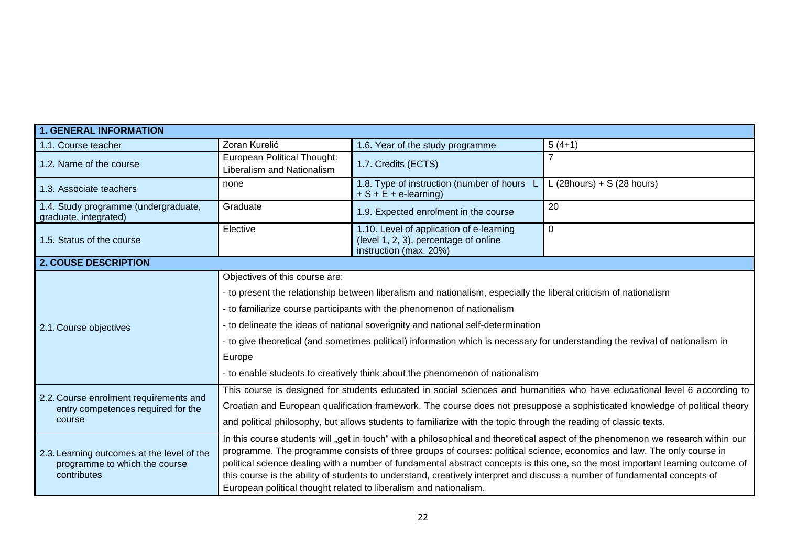| <b>1. GENERAL INFORMATION</b>                                                              |                                                                                                                                                                                                                                                               |                                                                                                             |                            |  |  |
|--------------------------------------------------------------------------------------------|---------------------------------------------------------------------------------------------------------------------------------------------------------------------------------------------------------------------------------------------------------------|-------------------------------------------------------------------------------------------------------------|----------------------------|--|--|
| 1.1. Course teacher                                                                        | Zoran Kurelić                                                                                                                                                                                                                                                 | 1.6. Year of the study programme                                                                            | $5(4+1)$                   |  |  |
| 1.2. Name of the course                                                                    | European Political Thought:<br>Liberalism and Nationalism                                                                                                                                                                                                     | 1.7. Credits (ECTS)                                                                                         | $\overline{7}$             |  |  |
| 1.3. Associate teachers                                                                    | none                                                                                                                                                                                                                                                          | 1.8. Type of instruction (number of hours<br>$+ S + E + e$ -learning)                                       | L (28hours) + S (28 hours) |  |  |
| 1.4. Study programme (undergraduate,<br>graduate, integrated)                              | Graduate                                                                                                                                                                                                                                                      | 1.9. Expected enrolment in the course                                                                       | 20                         |  |  |
| 1.5. Status of the course                                                                  | Elective                                                                                                                                                                                                                                                      | 1.10. Level of application of e-learning<br>(level 1, 2, 3), percentage of online<br>instruction (max. 20%) | $\mathbf 0$                |  |  |
| <b>2. COUSE DESCRIPTION</b>                                                                |                                                                                                                                                                                                                                                               |                                                                                                             |                            |  |  |
| 2.1. Course objectives                                                                     | Objectives of this course are:                                                                                                                                                                                                                                |                                                                                                             |                            |  |  |
|                                                                                            | - to present the relationship between liberalism and nationalism, especially the liberal criticism of nationalism                                                                                                                                             |                                                                                                             |                            |  |  |
|                                                                                            | - to familiarize course participants with the phenomenon of nationalism                                                                                                                                                                                       |                                                                                                             |                            |  |  |
|                                                                                            | - to delineate the ideas of national soverignity and national self-determination                                                                                                                                                                              |                                                                                                             |                            |  |  |
|                                                                                            | - to give theoretical (and sometimes political) information which is necessary for understanding the revival of nationalism in                                                                                                                                |                                                                                                             |                            |  |  |
|                                                                                            | Europe                                                                                                                                                                                                                                                        |                                                                                                             |                            |  |  |
|                                                                                            | - to enable students to creatively think about the phenomenon of nationalism                                                                                                                                                                                  |                                                                                                             |                            |  |  |
| 2.2. Course enrolment requirements and<br>entry competences required for the<br>course     | This course is designed for students educated in social sciences and humanities who have educational level 6 according to                                                                                                                                     |                                                                                                             |                            |  |  |
|                                                                                            | Croatian and European qualification framework. The course does not presuppose a sophisticated knowledge of political theory                                                                                                                                   |                                                                                                             |                            |  |  |
|                                                                                            | and political philosophy, but allows students to familiarize with the topic through the reading of classic texts.                                                                                                                                             |                                                                                                             |                            |  |  |
| 2.3. Learning outcomes at the level of the<br>programme to which the course<br>contributes | In this course students will "get in touch" with a philosophical and theoretical aspect of the phenomenon we research within our                                                                                                                              |                                                                                                             |                            |  |  |
|                                                                                            | programme. The programme consists of three groups of courses: political science, economics and law. The only course in                                                                                                                                        |                                                                                                             |                            |  |  |
|                                                                                            | political science dealing with a number of fundamental abstract concepts is this one, so the most important learning outcome of<br>this course is the ability of students to understand, creatively interpret and discuss a number of fundamental concepts of |                                                                                                             |                            |  |  |
|                                                                                            | European political thought related to liberalism and nationalism.                                                                                                                                                                                             |                                                                                                             |                            |  |  |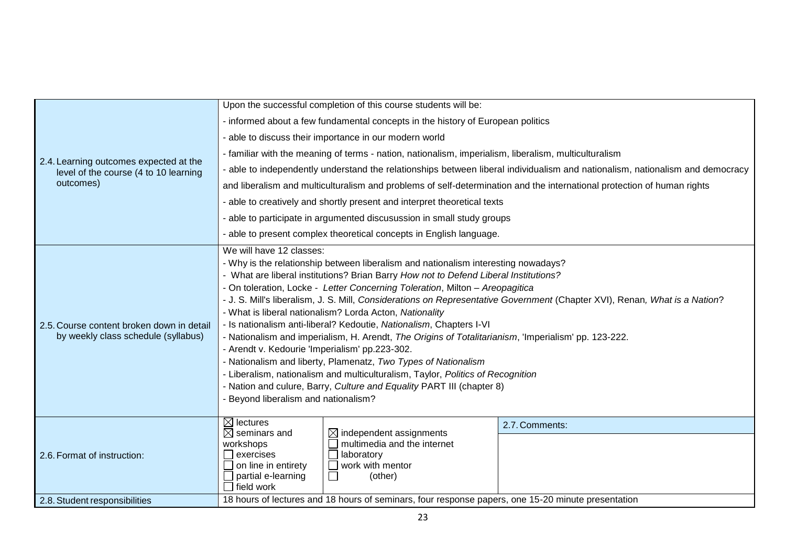| 2.4. Learning outcomes expected at the<br>level of the course (4 to 10 learning<br>outcomes) | Upon the successful completion of this course students will be:                                                               |                                                                    |                |  |  |
|----------------------------------------------------------------------------------------------|-------------------------------------------------------------------------------------------------------------------------------|--------------------------------------------------------------------|----------------|--|--|
|                                                                                              | - informed about a few fundamental concepts in the history of European politics                                               |                                                                    |                |  |  |
|                                                                                              | - able to discuss their importance in our modern world                                                                        |                                                                    |                |  |  |
|                                                                                              | - familiar with the meaning of terms - nation, nationalism, imperialism, liberalism, multiculturalism                         |                                                                    |                |  |  |
|                                                                                              | - able to independently understand the relationships between liberal individualism and nationalism, nationalism and democracy |                                                                    |                |  |  |
|                                                                                              | and liberalism and multiculturalism and problems of self-determination and the international protection of human rights       |                                                                    |                |  |  |
|                                                                                              | - able to creatively and shortly present and interpret theoretical texts                                                      |                                                                    |                |  |  |
|                                                                                              | - able to participate in argumented discusussion in small study groups                                                        |                                                                    |                |  |  |
|                                                                                              | - able to present complex theoretical concepts in English language.                                                           |                                                                    |                |  |  |
|                                                                                              | We will have 12 classes:                                                                                                      |                                                                    |                |  |  |
|                                                                                              | - Why is the relationship between liberalism and nationalism interesting nowadays?                                            |                                                                    |                |  |  |
|                                                                                              | - What are liberal institutions? Brian Barry How not to Defend Liberal Institutions?                                          |                                                                    |                |  |  |
|                                                                                              | - On toleration, Locke - Letter Concerning Toleration, Milton - Areopagitica                                                  |                                                                    |                |  |  |
|                                                                                              | - J. S. Mill's liberalism, J. S. Mill, Considerations on Representative Government (Chapter XVI), Renan, What is a Nation?    |                                                                    |                |  |  |
|                                                                                              | - What is liberal nationalism? Lorda Acton, Nationality                                                                       |                                                                    |                |  |  |
| 2.5. Course content broken down in detail                                                    | - Is nationalism anti-liberal? Kedoutie, Nationalism, Chapters I-VI                                                           |                                                                    |                |  |  |
| by weekly class schedule (syllabus)                                                          | - Nationalism and imperialism, H. Arendt, The Origins of Totalitarianism, 'Imperialism' pp. 123-222.                          |                                                                    |                |  |  |
|                                                                                              | - Arendt v. Kedourie 'Imperialism' pp.223-302.                                                                                |                                                                    |                |  |  |
|                                                                                              | - Nationalism and liberty, Plamenatz, Two Types of Nationalism                                                                |                                                                    |                |  |  |
|                                                                                              | - Liberalism, nationalism and multiculturalism, Taylor, Politics of Recognition                                               |                                                                    |                |  |  |
|                                                                                              | - Nation and culure, Barry, Culture and Equality PART III (chapter 8)                                                         |                                                                    |                |  |  |
|                                                                                              | - Beyond liberalism and nationalism?                                                                                          |                                                                    |                |  |  |
| 2.6. Format of instruction:                                                                  | $\boxtimes$ lectures                                                                                                          |                                                                    | 2.7. Comments: |  |  |
|                                                                                              | $\boxtimes$ seminars and                                                                                                      | $\boxtimes$ independent assignments<br>multimedia and the internet |                |  |  |
|                                                                                              | workshops<br>exercises                                                                                                        | laboratory                                                         |                |  |  |
|                                                                                              | on line in entirety                                                                                                           | work with mentor                                                   |                |  |  |
|                                                                                              | $\Box$ partial e-learning                                                                                                     | (other)                                                            |                |  |  |
|                                                                                              | l field work                                                                                                                  |                                                                    |                |  |  |
| 2.8. Student responsibilities                                                                | 18 hours of lectures and 18 hours of seminars, four response papers, one 15-20 minute presentation                            |                                                                    |                |  |  |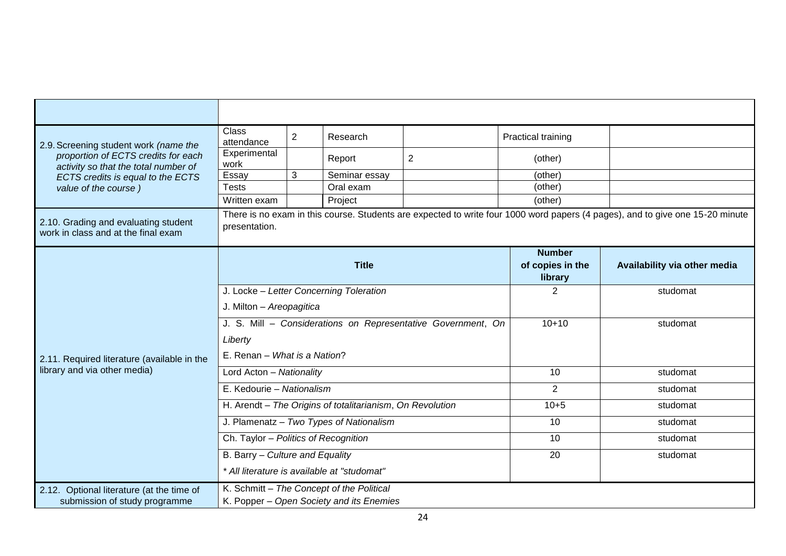| 2.9. Screening student work (name the<br>proportion of ECTS credits for each<br>activity so that the total number of<br>ECTS credits is equal to the ECTS | <b>Class</b><br>attendance                                                                                                                     | 2 | Research      |   | Practical training                |                              |
|-----------------------------------------------------------------------------------------------------------------------------------------------------------|------------------------------------------------------------------------------------------------------------------------------------------------|---|---------------|---|-----------------------------------|------------------------------|
|                                                                                                                                                           | Experimental<br>work                                                                                                                           |   | Report        | 2 | (other)                           |                              |
|                                                                                                                                                           | Essay                                                                                                                                          | 3 | Seminar essay |   | (other)                           |                              |
| value of the course)                                                                                                                                      | <b>Tests</b>                                                                                                                                   |   | Oral exam     |   | (other)                           |                              |
|                                                                                                                                                           | Written exam                                                                                                                                   |   | Project       |   | (other)                           |                              |
| 2.10. Grading and evaluating student<br>work in class and at the final exam                                                                               | There is no exam in this course. Students are expected to write four 1000 word papers (4 pages), and to give one 15-20 minute<br>presentation. |   |               |   |                                   |                              |
|                                                                                                                                                           | <b>Title</b>                                                                                                                                   |   |               |   | <b>Number</b><br>of copies in the | Availability via other media |
|                                                                                                                                                           |                                                                                                                                                |   |               |   | library                           |                              |
| 2.11. Required literature (available in the<br>library and via other media)                                                                               | J. Locke - Letter Concerning Toleration                                                                                                        |   |               |   | $\overline{2}$                    | studomat                     |
|                                                                                                                                                           | J. Milton - Areopagitica                                                                                                                       |   |               |   |                                   |                              |
|                                                                                                                                                           | J. S. Mill - Considerations on Representative Government, On                                                                                   |   |               |   | $10+10$                           | studomat                     |
|                                                                                                                                                           | Liberty                                                                                                                                        |   |               |   |                                   |                              |
|                                                                                                                                                           | E. Renan - What is a Nation?                                                                                                                   |   |               |   |                                   |                              |
|                                                                                                                                                           | Lord Acton - Nationality                                                                                                                       |   |               |   | 10                                | studomat                     |
|                                                                                                                                                           | E. Kedourie - Nationalism                                                                                                                      |   |               |   | $\overline{2}$                    | studomat                     |
|                                                                                                                                                           | H. Arendt - The Origins of totalitarianism, On Revolution                                                                                      |   |               |   | $10 + 5$                          | studomat                     |
|                                                                                                                                                           | J. Plamenatz - Two Types of Nationalism                                                                                                        |   |               |   | 10                                | studomat                     |
|                                                                                                                                                           | Ch. Taylor - Politics of Recognition                                                                                                           |   |               |   | 10                                | studomat                     |
|                                                                                                                                                           | B. Barry - Culture and Equality                                                                                                                |   |               |   | $\overline{20}$                   | studomat                     |
|                                                                                                                                                           | * All literature is available at "studomat"                                                                                                    |   |               |   |                                   |                              |
| 2.12. Optional literature (at the time of                                                                                                                 | K. Schmitt - The Concept of the Political                                                                                                      |   |               |   |                                   |                              |
| submission of study programme                                                                                                                             | K. Popper - Open Society and its Enemies                                                                                                       |   |               |   |                                   |                              |